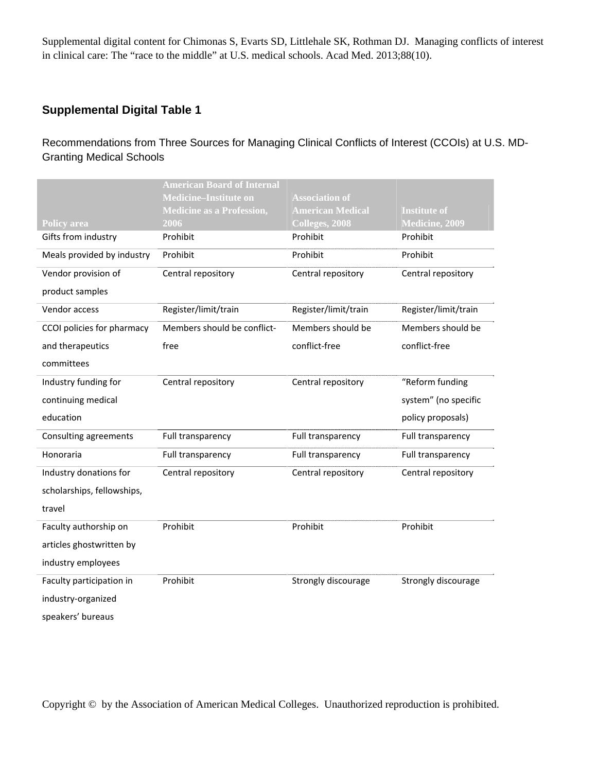### **Supplemental Digital Table 1**

Recommendations from Three Sources for Managing Clinical Conflicts of Interest (CCOIs) at U.S. MD-Granting Medical Schools

|                            | <b>American Board of Internal</b><br><b>Medicine–Institute on</b> | <b>Association of</b>              |                      |
|----------------------------|-------------------------------------------------------------------|------------------------------------|----------------------|
|                            | <b>Medicine as a Profession,</b>                                  | <b>American Medical</b>            | <b>Institute of</b>  |
| <b>Policy area</b>         | 2006                                                              | $\overline{\text{Colleges}, 2008}$ | Medicine, 2009       |
| Gifts from industry        | Prohibit                                                          | Prohibit                           | Prohibit             |
| Meals provided by industry | Prohibit                                                          | Prohibit                           | Prohibit             |
| Vendor provision of        | Central repository                                                | Central repository                 | Central repository   |
| product samples            |                                                                   |                                    |                      |
| Vendor access              | Register/limit/train                                              | Register/limit/train               | Register/limit/train |
| CCOI policies for pharmacy | Members should be conflict-                                       | Members should be                  | Members should be    |
| and therapeutics           | free                                                              | conflict-free                      | conflict-free        |
| committees                 |                                                                   |                                    |                      |
| Industry funding for       | Central repository                                                | Central repository                 | "Reform funding      |
| continuing medical         |                                                                   |                                    | system" (no specific |
| education                  |                                                                   |                                    | policy proposals)    |
| Consulting agreements      | Full transparency                                                 | Full transparency                  | Full transparency    |
| Honoraria                  | Full transparency                                                 | Full transparency                  | Full transparency    |
| Industry donations for     | Central repository                                                | Central repository                 | Central repository   |
| scholarships, fellowships, |                                                                   |                                    |                      |
| travel                     |                                                                   |                                    |                      |
| Faculty authorship on      | Prohibit                                                          | Prohibit                           | Prohibit             |
| articles ghostwritten by   |                                                                   |                                    |                      |
| industry employees         |                                                                   |                                    |                      |
| Faculty participation in   | Prohibit                                                          | Strongly discourage                | Strongly discourage  |
| industry-organized         |                                                                   |                                    |                      |
|                            |                                                                   |                                    |                      |

speakers' bureaus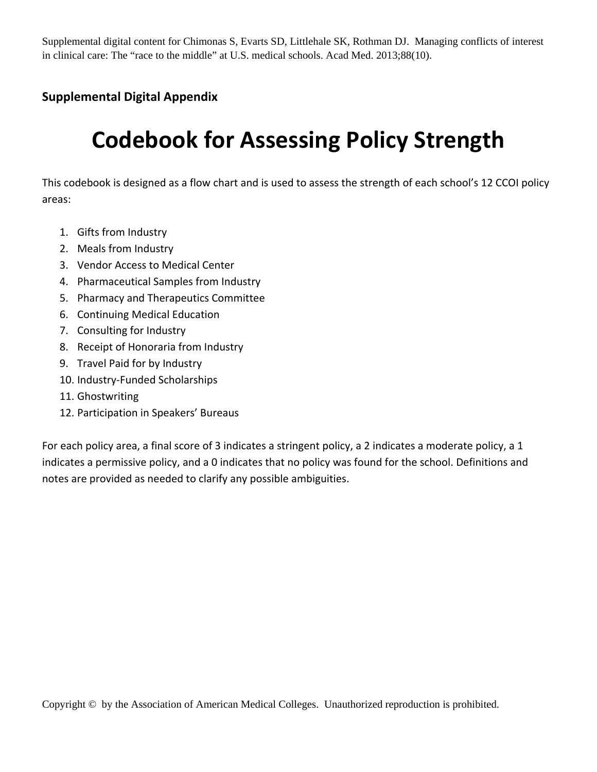### **Supplemental Digital Appendix**

# **Codebook for Assessing Policy Strength**

This codebook is designed as a flow chart and is used to assess the strength of each school's 12 CCOI policy areas:

- 1. Gifts from Industry
- 2. Meals from Industry
- 3. Vendor Access to Medical Center
- 4. Pharmaceutical Samples from Industry
- 5. Pharmacy and Therapeutics Committee
- 6. Continuing Medical Education
- 7. Consulting for Industry
- 8. Receipt of Honoraria from Industry
- 9. Travel Paid for by Industry
- 10. Industry‐Funded Scholarships
- 11. Ghostwriting
- 12. Participation in Speakers' Bureaus

For each policy area, a final score of 3 indicates a stringent policy, a 2 indicates a moderate policy, a 1 indicates a permissive policy, and a 0 indicates that no policy was found for the school. Definitions and notes are provided as needed to clarify any possible ambiguities.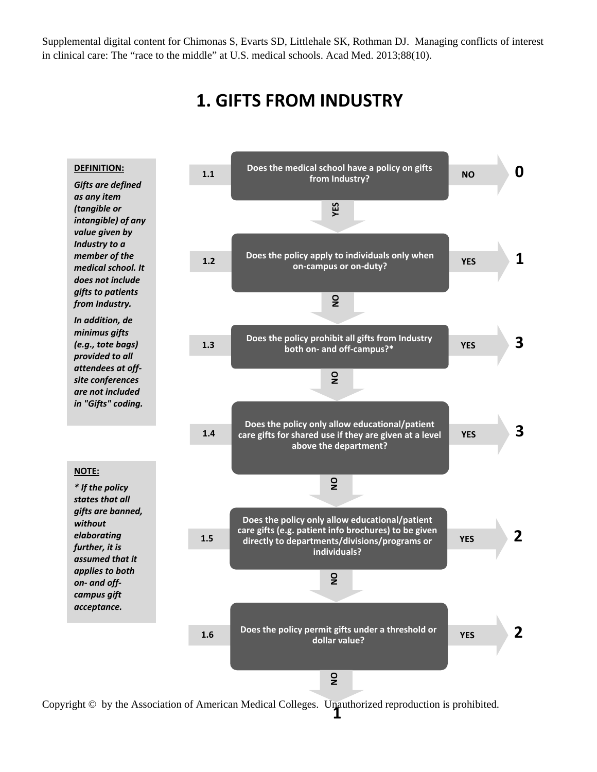### **1. GIFTS FROM INDUSTRY**

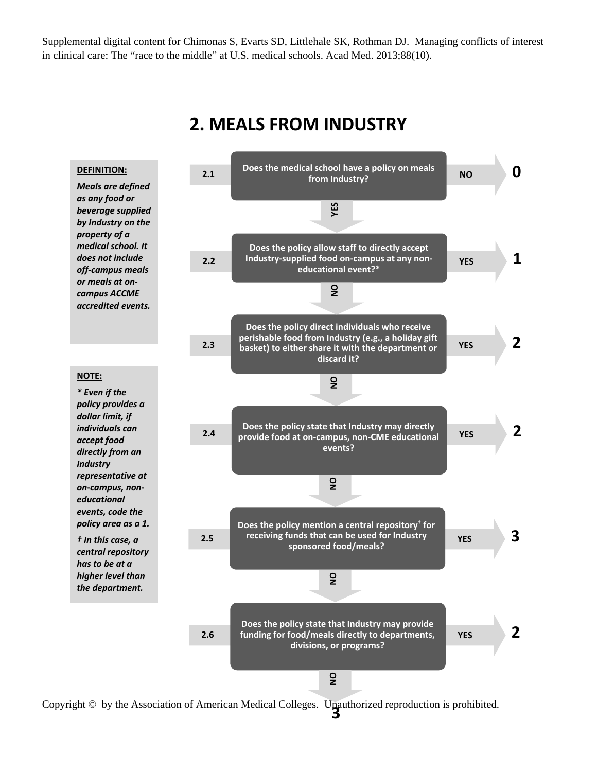

### **2. MEALS FROM INDUSTRY**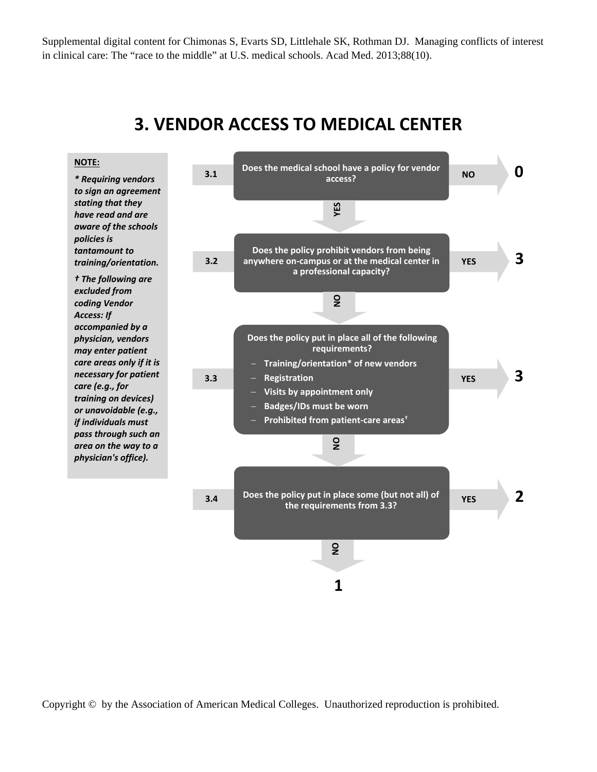### **3. VENDOR ACCESS TO MEDICAL CENTER**

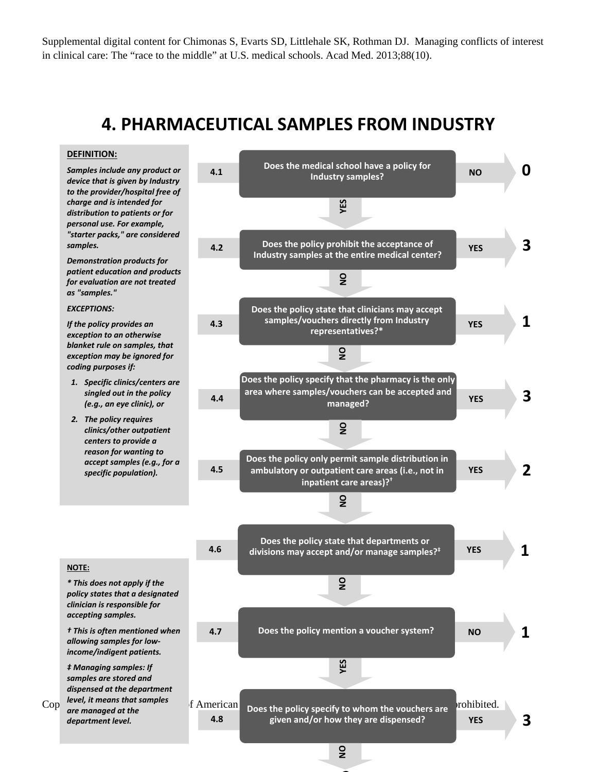### **4. PHARMACEUTICAL SAMPLES FROM INDUSTRY**

#### **DEFINITION:**

*Samples include any product or device that is given by Industry to the provider/hospital free of charge and is intended for distribution to patients or for personal use. For example, "starter packs," are considered samples.*

*Demonstration products for patient education and products for evaluation are not treated as "samples."*

#### *EXCEPTIONS:*

**NOTE:**

*If the policy provides an exception to an otherwise blanket rule on samples, that exception may be ignored for coding purposes if:*

- *1. Specific clinics/centers are singled out in the policy (e.g., an eye clinic), or*
- *2. The policy requires clinics/other outpatient centers to provide a reason for wanting to accept samples (e.g., for a specific population).*

**4.1 Does** the medical school have a policy for **the MO 0 0 Industry samples? representatives**<br>**representatives**<br>**y** state that clinicial<br>vectors directly frequences?\* **4.2 Does the policy prohibit the acceptance of YES 3 Industry samples at the entire medical center? Does the policy state that clinicians may accept 4.3 YES 1 samples/vouchers directly from Industry**  $\overline{2}$ **2NO NO NO YES NO Does the policy specify that the pharmacy is the only 4.4 YES 3 area where samples/vouchers can be accepted and managed? NODoes the policy only permit sample distribution in 4.5 YES 2 ambulatory or outpatient care areas (i.e., not in inpatient care areas)?†**  $\overline{2}$ **Does the policy state that departments or 4.6 YES 1 divisions may accept and/or manage samples?‡**  $\frac{1}{2}$ **4.7 Does the policy mention a voucher system? NO 1 ES** 

 $\text{Cop}_{\text{are managed at the}}$  is the anauthorization of American Does the policy specify to whom the vouchers are a prohibited. *level, it means that samples are managed at the department level.*

**4.8**

*\* This does not apply if the policy states that a designated clinician is responsible for accepting samples.* 

*† This is often mentioned when allowing samples for low‐ income/indigent patients. ‡ Managing samples: If samples are stored and dispensed at the department*

**given and/or how they are dispensed?**

 $\frac{1}{2}$ 

**3**

**YES**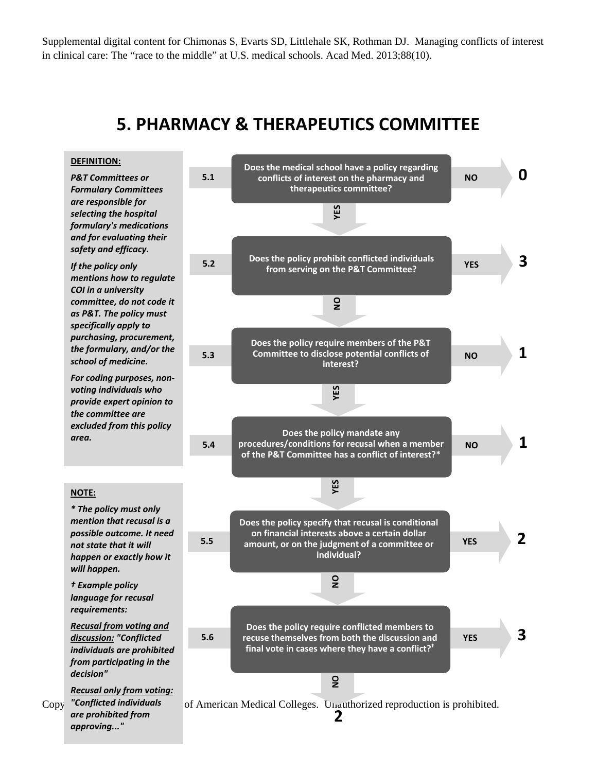### **5. PHARMACY & THERAPEUTICS COMMITTEE**



*are prohibited from approving..."*

2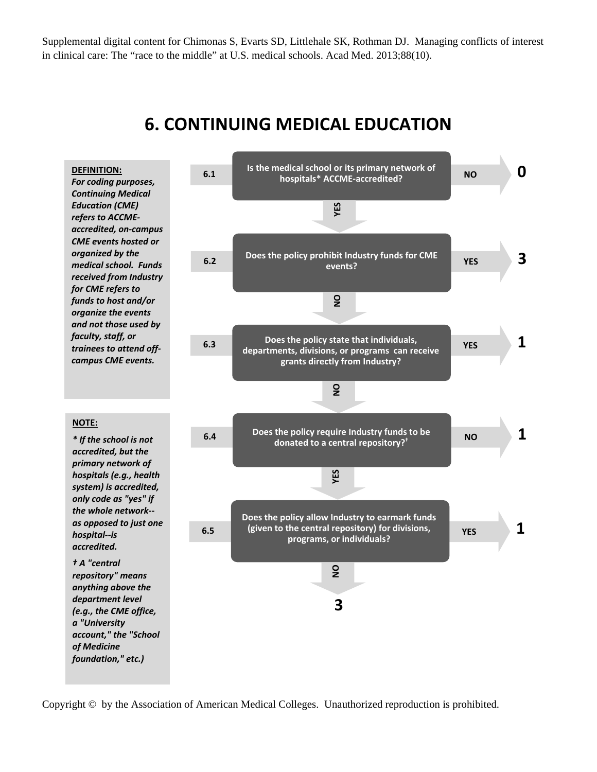

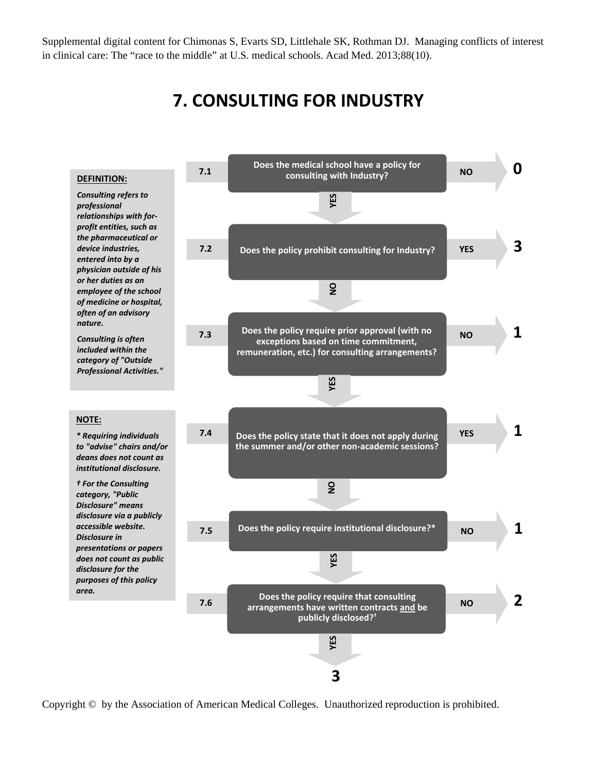## **7. CONSULTING FOR INDUSTRY**



Copyright © by the Association of American Medical Colleges. Unauthorized reproduction is prohibited.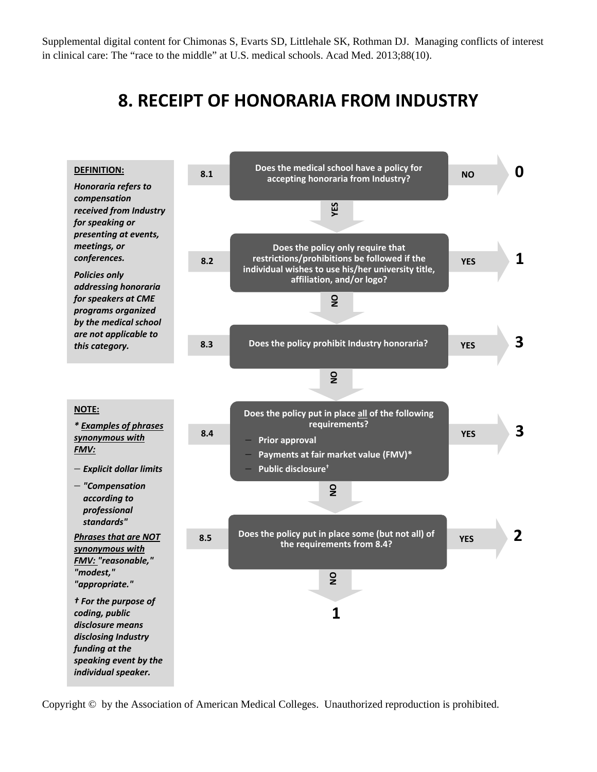## **8. RECEIPT OF HONORARIA FROM INDUSTRY**



Copyright © by the Association of American Medical Colleges. Unauthorized reproduction is prohibited.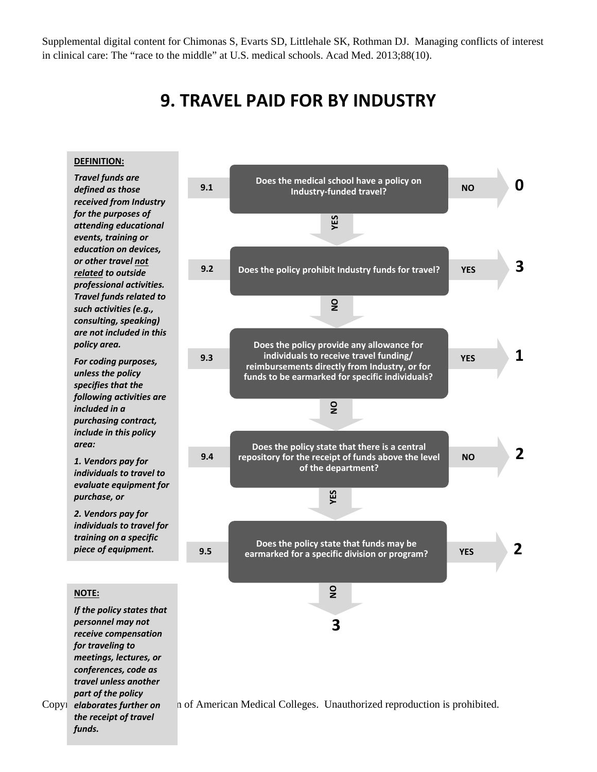### **9. TRAVEL PAID FOR BY INDUSTRY**

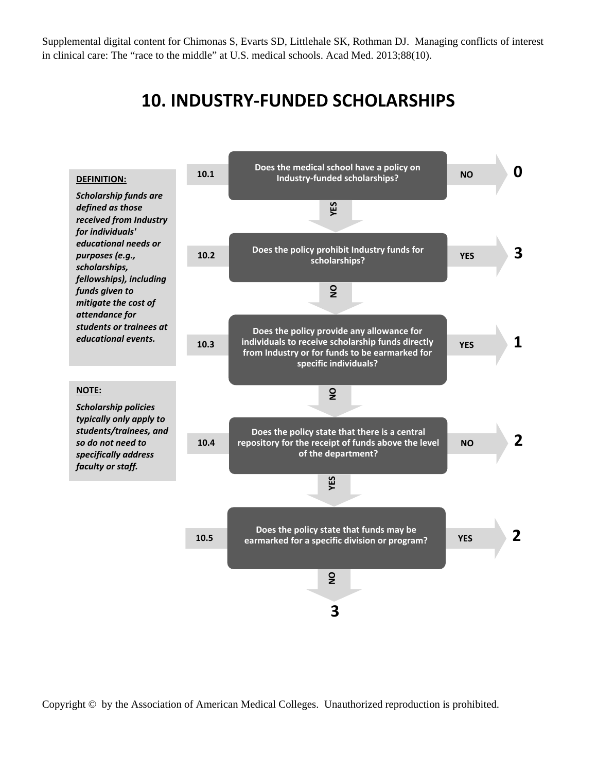### **10. INDUSTRY‐FUNDED SCHOLARSHIPS**



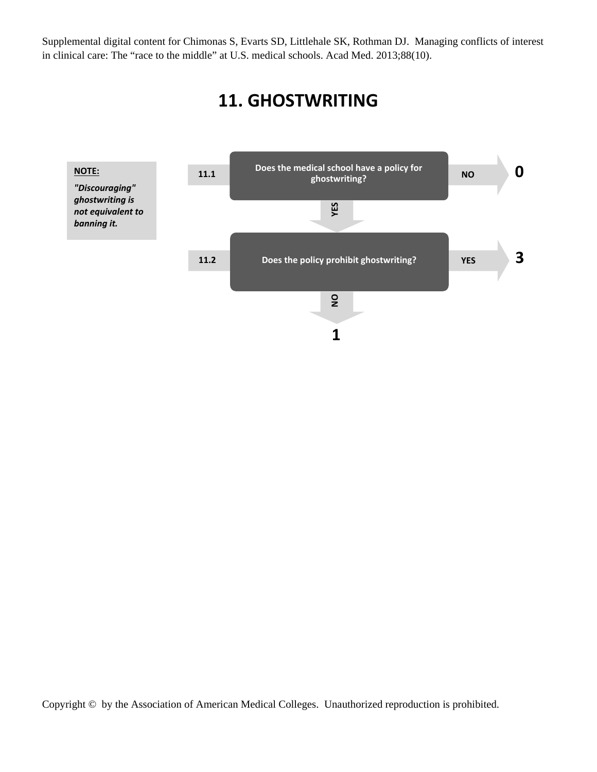# **11. GHOSTWRITING**